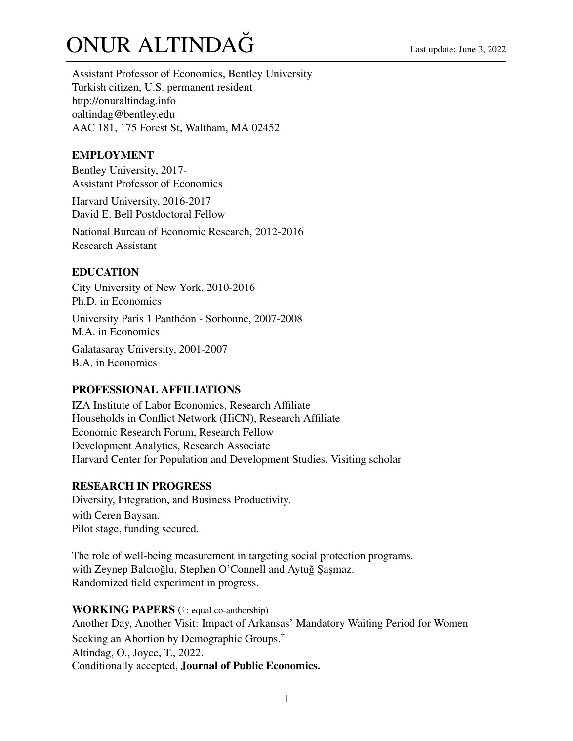# $ONUR$  ALTINDA $\check{G}$

Assistant Professor of Economics, Bentley University Turkish citizen, U.S. permanent resident <http://onuraltindag.info> oaltindag@bentley.edu AAC 181, 175 Forest St, Waltham, MA 02452

# EMPLOYMENT

Bentley University, 2017- Assistant Professor of Economics

Harvard University, 2016-2017 David E. Bell Postdoctoral Fellow

National Bureau of Economic Research, 2012-2016 Research Assistant

# EDUCATION

City University of New York, 2010-2016 Ph.D. in Economics University Paris 1 Panthéon - Sorbonne, 2007-2008 M.A. in Economics Galatasaray University, 2001-2007

B.A. in Economics

## PROFESSIONAL AFFILIATIONS

IZA Institute of Labor Economics, Research Affiliate Households in Conflict Network (HiCN), Research Affiliate Economic Research Forum, Research Fellow Development Analytics, Research Associate Harvard Center for Population and Development Studies, Visiting scholar

## RESEARCH IN PROGRESS

Diversity, Integration, and Business Productivity. with Ceren Baysan. Pilot stage, funding secured.

The role of well-being measurement in targeting social protection programs. with Zeynep Balcıoğlu, Stephen O'Connell and Aytuğ Şaşmaz. Randomized field experiment in progress.

# WORKING PAPERS (†: equal co-authorship) Another Day, Another Visit: Impact of Arkansas' Mandatory Waiting Period for Women Seeking an Abortion by Demographic Groups.<sup>†</sup> Altindag, O., Joyce, T., 2022. Conditionally accepted, Journal of Public Economics.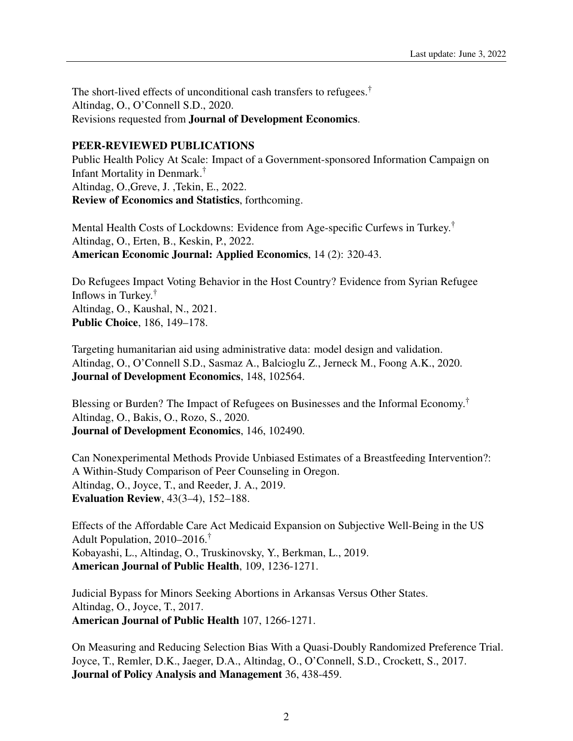The short-lived effects of unconditional cash transfers to refugees.† Altindag, O., O'Connell S.D., 2020. Revisions requested from Journal of Development Economics.

#### PEER-REVIEWED PUBLICATIONS

Public Health Policy At Scale: Impact of a Government-sponsored Information Campaign on Infant Mortality in Denmark.† Altindag, O.,Greve, J. ,Tekin, E., 2022. Review of Economics and Statistics, forthcoming.

Mental Health Costs of Lockdowns: Evidence from Age-specific Curfews in Turkey.† Altindag, O., Erten, B., Keskin, P., 2022. American Economic Journal: Applied Economics, 14 (2): 320-43.

Do Refugees Impact Voting Behavior in the Host Country? Evidence from Syrian Refugee Inflows in Turkey.† Altindag, O., Kaushal, N., 2021. Public Choice, 186, 149–178.

Targeting humanitarian aid using administrative data: model design and validation. Altindag, O., O'Connell S.D., Sasmaz A., Balcioglu Z., Jerneck M., Foong A.K., 2020. Journal of Development Economics, 148, 102564.

Blessing or Burden? The Impact of Refugees on Businesses and the Informal Economy.† Altindag, O., Bakis, O., Rozo, S., 2020. Journal of Development Economics, 146, 102490.

Can Nonexperimental Methods Provide Unbiased Estimates of a Breastfeeding Intervention?: A Within-Study Comparison of Peer Counseling in Oregon. Altindag, O., Joyce, T., and Reeder, J. A., 2019. Evaluation Review, 43(3–4), 152–188.

Effects of the Affordable Care Act Medicaid Expansion on Subjective Well-Being in the US Adult Population, 2010–2016.† Kobayashi, L., Altindag, O., Truskinovsky, Y., Berkman, L., 2019. American Journal of Public Health, 109, 1236-1271.

Judicial Bypass for Minors Seeking Abortions in Arkansas Versus Other States. Altindag, O., Joyce, T., 2017. American Journal of Public Health 107, 1266-1271.

On Measuring and Reducing Selection Bias With a Quasi-Doubly Randomized Preference Trial. Joyce, T., Remler, D.K., Jaeger, D.A., Altindag, O., O'Connell, S.D., Crockett, S., 2017. Journal of Policy Analysis and Management 36, 438-459.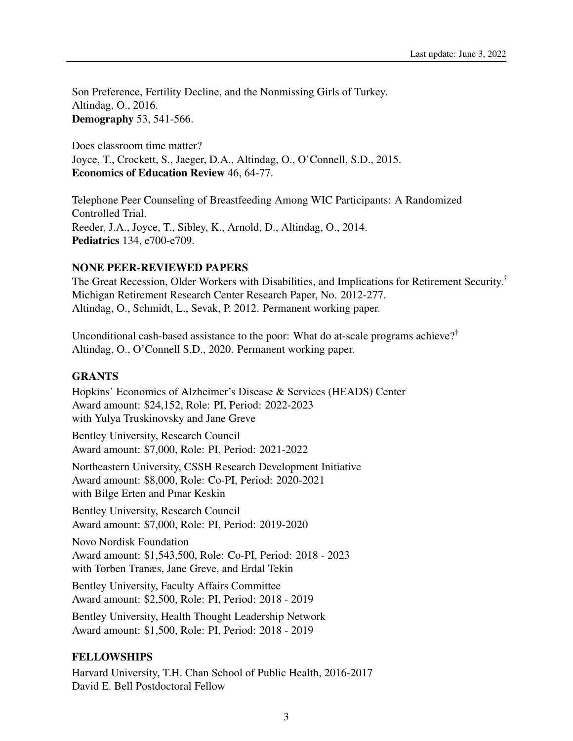Son Preference, Fertility Decline, and the Nonmissing Girls of Turkey. Altindag, O., 2016. Demography 53, 541-566.

Does classroom time matter? Joyce, T., Crockett, S., Jaeger, D.A., Altindag, O., O'Connell, S.D., 2015. Economics of Education Review 46, 64-77.

Telephone Peer Counseling of Breastfeeding Among WIC Participants: A Randomized Controlled Trial. Reeder, J.A., Joyce, T., Sibley, K., Arnold, D., Altindag, O., 2014. Pediatrics 134, e700-e709.

#### NONE PEER-REVIEWED PAPERS

The Great Recession, Older Workers with Disabilities, and Implications for Retirement Security.† Michigan Retirement Research Center Research Paper, No. 2012-277. Altindag, O., Schmidt, L., Sevak, P. 2012. Permanent working paper.

Unconditional cash-based assistance to the poor: What do at-scale programs achieve?† Altindag, O., O'Connell S.D., 2020. Permanent working paper.

#### **GRANTS**

Hopkins' Economics of Alzheimer's Disease & Services (HEADS) Center Award amount: \$24,152, Role: PI, Period: 2022-2023 with Yulya Truskinovsky and Jane Greve Bentley University, Research Council Award amount: \$7,000, Role: PI, Period: 2021-2022 Northeastern University, CSSH Research Development Initiative Award amount: \$8,000, Role: Co-PI, Period: 2020-2021 with Bilge Erten and Pınar Keskin Bentley University, Research Council Award amount: \$7,000, Role: PI, Period: 2019-2020 Novo Nordisk Foundation Award amount: \$1,543,500, Role: Co-PI, Period: 2018 - 2023 with Torben Tranæs, Jane Greve, and Erdal Tekin Bentley University, Faculty Affairs Committee Award amount: \$2,500, Role: PI, Period: 2018 - 2019 Bentley University, Health Thought Leadership Network Award amount: \$1,500, Role: PI, Period: 2018 - 2019

#### FELLOWSHIPS

Harvard University, T.H. Chan School of Public Health, 2016-2017 David E. Bell Postdoctoral Fellow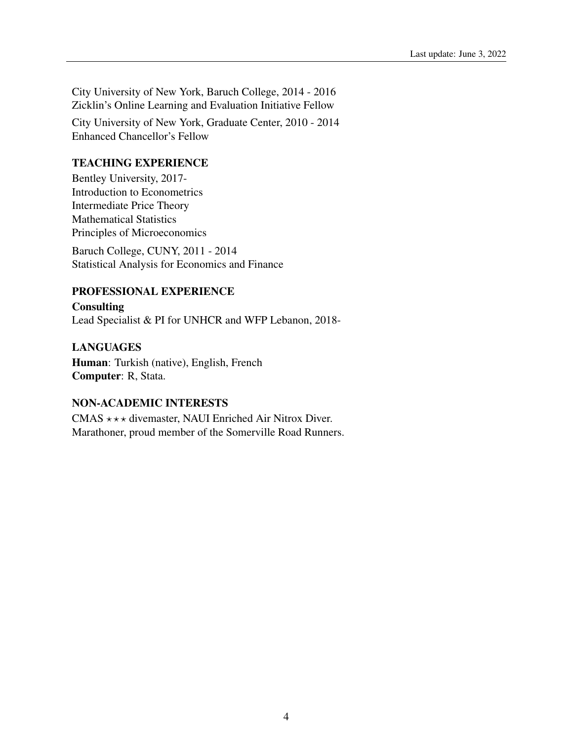City University of New York, Baruch College, 2014 - 2016 Zicklin's Online Learning and Evaluation Initiative Fellow

City University of New York, Graduate Center, 2010 - 2014 Enhanced Chancellor's Fellow

## TEACHING EXPERIENCE

Bentley University, 2017- Introduction to Econometrics Intermediate Price Theory Mathematical Statistics Principles of Microeconomics

Baruch College, CUNY, 2011 - 2014 Statistical Analysis for Economics and Finance

## PROFESSIONAL EXPERIENCE

**Consulting** Lead Specialist & PI for UNHCR and WFP Lebanon, 2018-

## LANGUAGES

Human: Turkish (native), English, French Computer: R, Stata.

## NON-ACADEMIC INTERESTS

CMAS  $\star \star \star$  divemaster, NAUI Enriched Air Nitrox Diver. Marathoner, proud member of the Somerville Road Runners.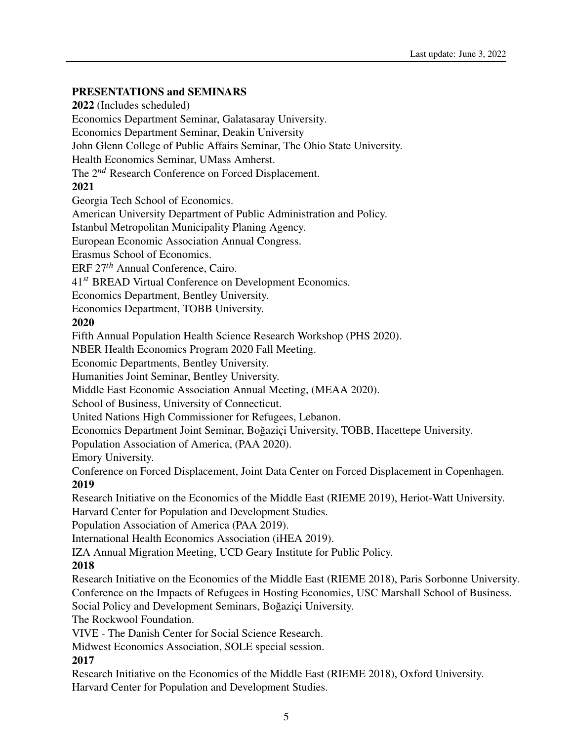# PRESENTATIONS and SEMINARS

2022 (Includes scheduled) Economics Department Seminar, Galatasaray University. Economics Department Seminar, Deakin University John Glenn College of Public Affairs Seminar, The Ohio State University. Health Economics Seminar, UMass Amherst. The 2*nd* Research Conference on Forced Displacement. 2021 Georgia Tech School of Economics. American University Department of Public Administration and Policy. Istanbul Metropolitan Municipality Planing Agency. European Economic Association Annual Congress. Erasmus School of Economics. ERF 27*th* Annual Conference, Cairo. 41*st* BREAD Virtual Conference on Development Economics. Economics Department, Bentley University. Economics Department, TOBB University. 2020 Fifth Annual Population Health Science Research Workshop (PHS 2020). NBER Health Economics Program 2020 Fall Meeting. Economic Departments, Bentley University. Humanities Joint Seminar, Bentley University. Middle East Economic Association Annual Meeting, (MEAA 2020). School of Business, University of Connecticut. United Nations High Commissioner for Refugees, Lebanon. Economics Department Joint Seminar, Boğaziçi University, TOBB, Hacettepe University. Population Association of America, (PAA 2020). Emory University. Conference on Forced Displacement, Joint Data Center on Forced Displacement in Copenhagen. 2019 Research Initiative on the Economics of the Middle East (RIEME 2019), Heriot-Watt University. Harvard Center for Population and Development Studies. Population Association of America (PAA 2019). International Health Economics Association (iHEA 2019). IZA Annual Migration Meeting, UCD Geary Institute for Public Policy. 2018 Research Initiative on the Economics of the Middle East (RIEME 2018), Paris Sorbonne University.

Conference on the Impacts of Refugees in Hosting Economies, USC Marshall School of Business.

Social Policy and Development Seminars, Boğaziçi University.

The Rockwool Foundation.

VIVE - The Danish Center for Social Science Research.

Midwest Economics Association, SOLE special session.

# 2017

Research Initiative on the Economics of the Middle East (RIEME 2018), Oxford University. Harvard Center for Population and Development Studies.